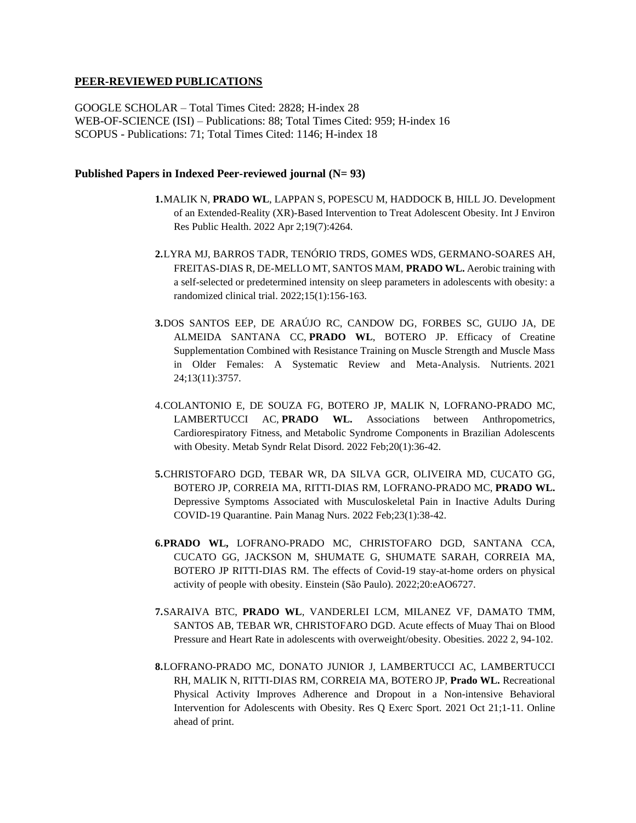## **PEER-REVIEWED PUBLICATIONS**

GOOGLE SCHOLAR – Total Times Cited: 2828; H-index 28 WEB-OF-SCIENCE (ISI) – Publications: 88; Total Times Cited: 959; H-index 16 SCOPUS - Publications: 71; Total Times Cited: 1146; H-index 18

## **Published Papers in Indexed Peer-reviewed journal (N= 93)**

- **1.**MALIK N, **PRADO WL**, LAPPAN S, POPESCU M, HADDOCK B, HILL JO. Development of an Extended-Reality (XR)-Based Intervention to Treat Adolescent Obesity. Int J Environ Res Public Health. 2022 Apr 2;19(7):4264.
- **2.**LYRA MJ, BARROS TADR, TENÓRIO TRDS, GOMES WDS, GERMANO-SOARES AH, FREITAS-DIAS R, DE-MELLO MT, SANTOS MAM, **PRADO WL.** Aerobic training with a self-selected or predetermined intensity on sleep parameters in adolescents with obesity: a randomized clinical trial. 2022;15(1):156-163.
- **3.**DOS SANTOS EEP, DE ARAÚJO RC, CANDOW DG, FORBES SC, GUIJO JA, DE ALMEIDA SANTANA CC, **PRADO WL**, BOTERO JP. Efficacy of Creatine Supplementation Combined with Resistance Training on Muscle Strength and Muscle Mass in Older Females: A Systematic Review and Meta-Analysis. Nutrients. 2021 24;13(11):3757.
- 4.COLANTONIO E, DE SOUZA FG, BOTERO JP, MALIK N, LOFRANO-PRADO MC, LAMBERTUCCI AC, **PRADO WL.** Associations between Anthropometrics, Cardiorespiratory Fitness, and Metabolic Syndrome Components in Brazilian Adolescents with Obesity. Metab Syndr Relat Disord. 2022 Feb;20(1):36-42.
- **5.**CHRISTOFARO DGD, TEBAR WR, DA SILVA GCR, OLIVEIRA MD, CUCATO GG, BOTERO JP, CORREIA MA, RITTI-DIAS RM, LOFRANO-PRADO MC, **PRADO WL.**  Depressive Symptoms Associated with Musculoskeletal Pain in Inactive Adults During COVID-19 Quarantine. Pain Manag Nurs. 2022 Feb;23(1):38-42.
- **6.PRADO WL,** LOFRANO-PRADO MC, CHRISTOFARO DGD, SANTANA CCA, CUCATO GG, JACKSON M, SHUMATE G, SHUMATE SARAH, CORREIA MA, BOTERO JP RITTI-DIAS RM. The effects of Covid-19 stay-at-home orders on physical activity of people with obesity. Einstein (São Paulo). 2022;20:eAO6727.
- **7.**SARAIVA BTC, **PRADO WL**, VANDERLEI LCM, MILANEZ VF, DAMATO TMM, SANTOS AB, TEBAR WR, CHRISTOFARO DGD. Acute effects of Muay Thai on Blood Pressure and Heart Rate in adolescents with overweight/obesity. Obesities. 2022 2, 94-102.
- **8.**LOFRANO-PRADO MC, DONATO JUNIOR J, LAMBERTUCCI AC, LAMBERTUCCI RH, MALIK N, RITTI-DIAS RM, CORREIA MA, BOTERO JP, **Prado WL.** Recreational Physical Activity Improves Adherence and Dropout in a Non-intensive Behavioral Intervention for Adolescents with Obesity. Res Q Exerc Sport. 2021 Oct 21;1-11. Online ahead of print.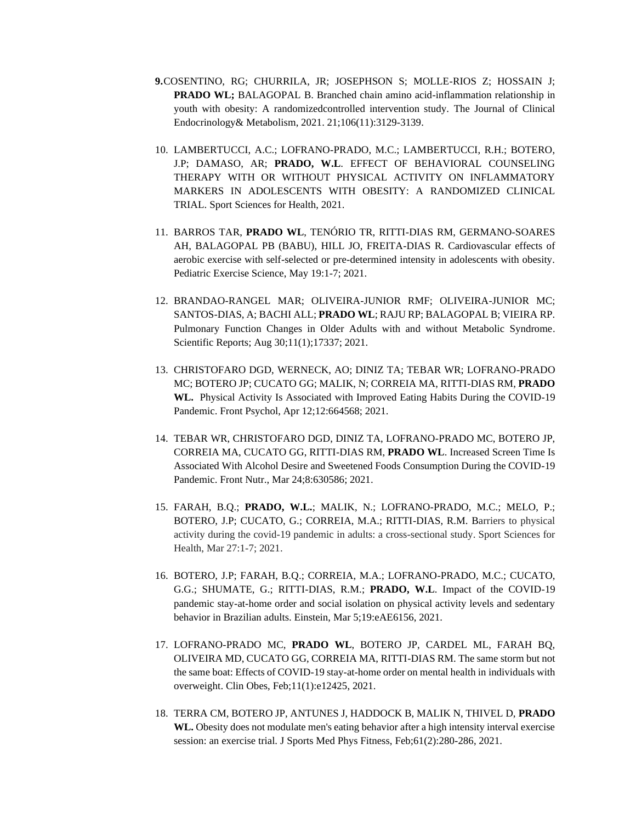- **9.**COSENTINO, RG; CHURRILA, JR; JOSEPHSON S; MOLLE-RIOS Z; HOSSAIN J; **PRADO WL;** BALAGOPAL B. Branched chain amino acid-inflammation relationship in youth with obesity: A randomizedcontrolled intervention study. The Journal of Clinical Endocrinology& Metabolism, 2021. 21;106(11):3129-3139.
- 10. LAMBERTUCCI, A.C.; LOFRANO-PRADO, M.C.; LAMBERTUCCI, R.H.; BOTERO, J.P; DAMASO, AR; **PRADO, W.L**. EFFECT OF BEHAVIORAL COUNSELING THERAPY WITH OR WITHOUT PHYSICAL ACTIVITY ON INFLAMMATORY MARKERS IN ADOLESCENTS WITH OBESITY: A RANDOMIZED CLINICAL TRIAL. Sport Sciences for Health, 2021.
- 11. BARROS TAR, **PRADO WL**, TENÓRIO TR, RITTI-DIAS RM, GERMANO-SOARES AH, BALAGOPAL PB (BABU), HILL JO, FREITA-DIAS R. Cardiovascular effects of aerobic exercise with self-selected or pre-determined intensity in adolescents with obesity. Pediatric Exercise Science, May 19:1-7; 2021.
- 12. BRANDAO-RANGEL MAR; OLIVEIRA-JUNIOR RMF; OLIVEIRA-JUNIOR MC; SANTOS-DIAS, A; BACHI ALL; **PRADO WL**; RAJU RP; BALAGOPAL B; VIEIRA RP. Pulmonary Function Changes in Older Adults with and without Metabolic Syndrome. Scientific Reports; Aug 30;11(1);17337; 2021.
- 13. CHRISTOFARO DGD, WERNECK, AO; DINIZ TA; TEBAR WR; LOFRANO-PRADO MC; BOTERO JP; CUCATO GG; MALIK, N; CORREIA MA, RITTI-DIAS RM, **PRADO WL.** Physical Activity Is Associated with Improved Eating Habits During the COVID-19 Pandemic. Front Psychol, Apr 12;12:664568; 2021.
- 14. TEBAR WR, CHRISTOFARO DGD, DINIZ TA, LOFRANO-PRADO MC, BOTERO JP, CORREIA MA, CUCATO GG, RITTI-DIAS RM, **PRADO WL**. Increased Screen Time Is Associated With Alcohol Desire and Sweetened Foods Consumption During the COVID-19 Pandemic. Front Nutr., Mar 24;8:630586; 2021.
- 15. FARAH, B.Q.; **PRADO, W.L.**; MALIK, N.; LOFRANO-PRADO, M.C.; MELO, P.; BOTERO, J.P; CUCATO, G.; CORREIA, M.A.; RITTI-DIAS, R.M. Barriers to physical activity during the covid-19 pandemic in adults: a cross-sectional study. Sport Sciences for Health, Mar 27:1-7; 2021.
- 16. BOTERO, J.P; FARAH, B.Q.; CORREIA, M.A.; LOFRANO-PRADO, M.C.; CUCATO, G.G.; SHUMATE, G.; RITTI-DIAS, R.M.; **PRADO, W.L**. Impact of the COVID-19 pandemic stay-at-home order and social isolation on physical activity levels and sedentary behavior in Brazilian adults. Einstein, Mar 5;19:eAE6156, 2021.
- 17. LOFRANO-PRADO MC, **PRADO WL**, BOTERO JP, CARDEL ML, FARAH BQ, OLIVEIRA MD, CUCATO GG, CORREIA MA, RITTI-DIAS RM. The same storm but not the same boat: Effects of COVID-19 stay-at-home order on mental health in individuals with overweight. Clin Obes, Feb;11(1):e12425, 2021.
- 18. TERRA CM, BOTERO JP, ANTUNES J, HADDOCK B, MALIK N, THIVEL D, **PRADO WL.** Obesity does not modulate men's eating behavior after a high intensity interval exercise session: an exercise trial. J Sports Med Phys Fitness, Feb;61(2):280-286, 2021.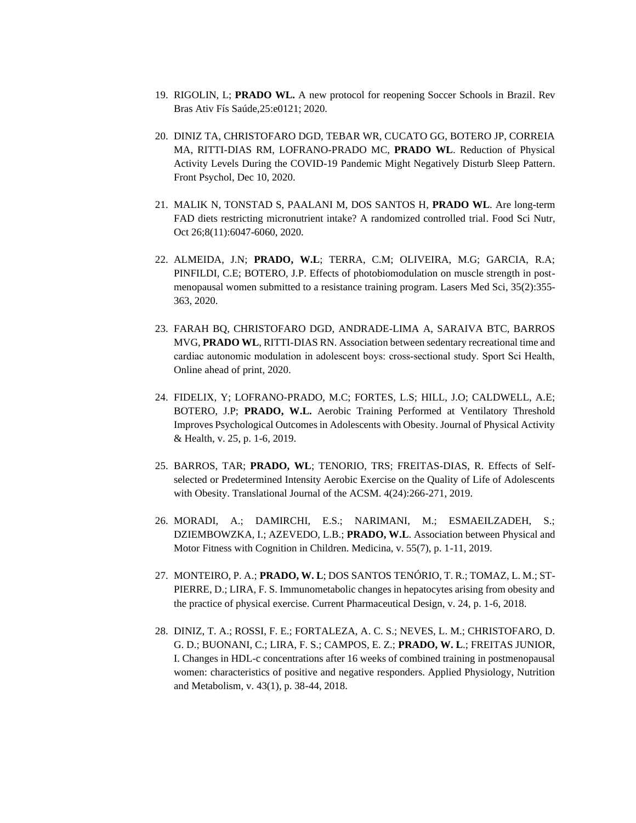- 19. RIGOLIN, L; **PRADO WL.** A new protocol for reopening Soccer Schools in Brazil. Rev Bras Ativ Fís Saúde,25:e0121; 2020.
- 20. DINIZ TA, CHRISTOFARO DGD, TEBAR WR, CUCATO GG, BOTERO JP, CORREIA MA, RITTI-DIAS RM, LOFRANO-PRADO MC, **PRADO WL**. Reduction of Physical Activity Levels During the COVID-19 Pandemic Might Negatively Disturb Sleep Pattern. Front Psychol, Dec 10, 2020.
- 21. MALIK N, TONSTAD S, PAALANI M, DOS SANTOS H, **PRADO WL**. Are long-term FAD diets restricting micronutrient intake? A randomized controlled trial. Food Sci Nutr, Oct 26;8(11):6047-6060, 2020.
- 22. ALMEIDA, J.N; **PRADO, W.L**; TERRA, C.M; OLIVEIRA, M.G; GARCIA, R.A; PINFILDI, C.E; BOTERO, J.P. Effects of photobiomodulation on muscle strength in postmenopausal women submitted to a resistance training program. Lasers Med Sci, 35(2):355- 363, 2020.
- 23. FARAH BQ, CHRISTOFARO DGD, ANDRADE-LIMA A, SARAIVA BTC, BARROS MVG, **PRADO WL**, RITTI-DIAS RN. Association between sedentary recreational time and cardiac autonomic modulation in adolescent boys: cross‑sectional study. Sport Sci Health, Online ahead of print, 2020.
- 24. FIDELIX, Y; LOFRANO-PRADO, M.C; FORTES, L.S; HILL, J.O; CALDWELL, A.E; BOTERO, J.P; **PRADO, W.L.** Aerobic Training Performed at Ventilatory Threshold Improves Psychological Outcomes in Adolescents with Obesity. Journal of Physical Activity & Health, v. 25, p. 1-6, 2019.
- 25. BARROS, TAR; **PRADO, WL**; TENORIO, TRS; FREITAS-DIAS, R. Effects of Selfselected or Predetermined Intensity Aerobic Exercise on the Quality of Life of Adolescents with Obesity. Translational Journal of the ACSM. 4(24):266-271, 2019.
- 26. MORADI, A.; DAMIRCHI, E.S.; NARIMANI, M.; ESMAEILZADEH, S.; DZIEMBOWZKA, I.; AZEVEDO, L.B.; **PRADO, W.L**. Association between Physical and Motor Fitness with Cognition in Children. Medicina, v. 55(7), p. 1-11, 2019.
- 27. MONTEIRO, P. A.; **PRADO, W. L**; DOS SANTOS TENÓRIO, T. R.; TOMAZ, L. M.; ST-PIERRE, D.; LIRA, F. S. Immunometabolic changes in hepatocytes arising from obesity and the practice of physical exercise. Current Pharmaceutical Design, v. 24, p. 1-6, 2018.
- 28. DINIZ, T. A.; ROSSI, F. E.; FORTALEZA, A. C. S.; NEVES, L. M.; CHRISTOFARO, D. G. D.; BUONANI, C.; LIRA, F. S.; CAMPOS, E. Z.; **PRADO, W. L**.; FREITAS JUNIOR, I. Changes in HDL-c concentrations after 16 weeks of combined training in postmenopausal women: characteristics of positive and negative responders. Applied Physiology, Nutrition and Metabolism, v. 43(1), p. 38-44, 2018.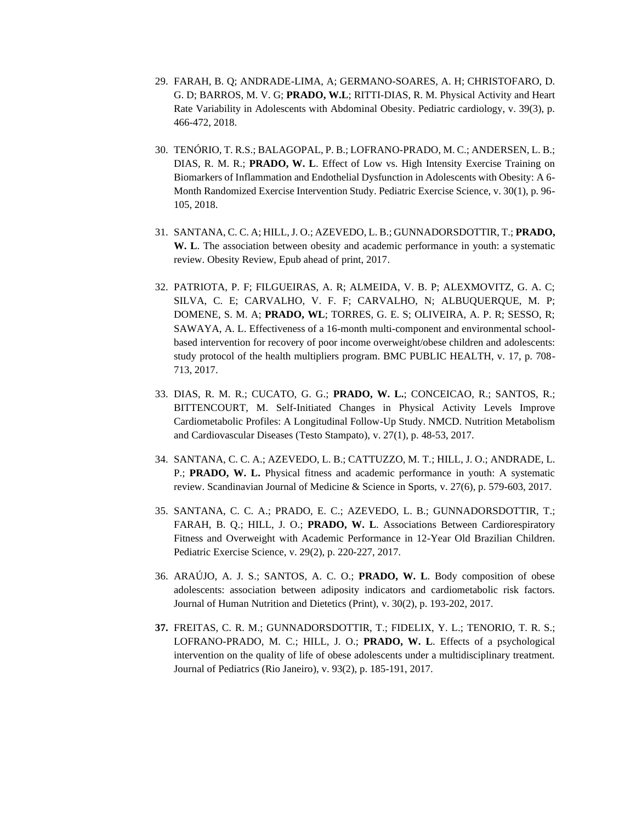- 29. FARAH, B. Q; ANDRADE-LIMA, A; GERMANO-SOARES, A. H; CHRISTOFARO, D. G. D; BARROS, M. V. G; **PRADO, W.L**; RITTI-DIAS, R. M. Physical Activity and Heart Rate Variability in Adolescents with Abdominal Obesity. Pediatric cardiology, v. 39(3), p. 466-472, 2018.
- 30. TENÓRIO, T. R.S.; BALAGOPAL, P. B.; LOFRANO-PRADO, M. C.; ANDERSEN, L. B.; DIAS, R. M. R.; **PRADO, W. L**. Effect of Low vs. High Intensity Exercise Training on Biomarkers of Inflammation and Endothelial Dysfunction in Adolescents with Obesity: A 6- Month Randomized Exercise Intervention Study. Pediatric Exercise Science, v. 30(1), p. 96- 105, 2018.
- 31. SANTANA, C. C. A; HILL, J. O.; AZEVEDO, L. B.; GUNNADORSDOTTIR, T.; **PRADO, W. L**. The association between obesity and academic performance in youth: a systematic review. Obesity Review, Epub ahead of print, 2017.
- 32. PATRIOTA, P. F; FILGUEIRAS, A. R; ALMEIDA, V. B. P; ALEXMOVITZ, G. A. C; SILVA, C. E; CARVALHO, V. F. F; CARVALHO, N; ALBUQUERQUE, M. P; DOMENE, S. M. A; **PRADO, WL**; TORRES, G. E. S; OLIVEIRA, A. P. R; SESSO, R; SAWAYA, A. L. Effectiveness of a 16-month multi-component and environmental schoolbased intervention for recovery of poor income overweight/obese children and adolescents: study protocol of the health multipliers program. BMC PUBLIC HEALTH, v. 17, p. 708- 713, 2017.
- 33. DIAS, R. M. R.; CUCATO, G. G.; **PRADO, W. L.**; CONCEICAO, R.; SANTOS, R.; BITTENCOURT, M. Self-Initiated Changes in Physical Activity Levels Improve Cardiometabolic Profiles: A Longitudinal Follow-Up Study. NMCD. Nutrition Metabolism and Cardiovascular Diseases (Testo Stampato), v. 27(1), p. 48-53, 2017.
- 34. SANTANA, C. C. A.; AZEVEDO, L. B.; CATTUZZO, M. T.; HILL, J. O.; ANDRADE, L. P.; **PRADO, W. L.** Physical fitness and academic performance in youth: A systematic review. Scandinavian Journal of Medicine & Science in Sports, v. 27(6), p. 579-603, 2017.
- 35. SANTANA, C. C. A.; PRADO, E. C.; AZEVEDO, L. B.; GUNNADORSDOTTIR, T.; FARAH, B. Q.; HILL, J. O.; **PRADO, W. L**. Associations Between Cardiorespiratory Fitness and Overweight with Academic Performance in 12-Year Old Brazilian Children. Pediatric Exercise Science, v. 29(2), p. 220-227, 2017.
- 36. ARAÚJO, A. J. S.; SANTOS, A. C. O.; **PRADO, W. L**. Body composition of obese adolescents: association between adiposity indicators and cardiometabolic risk factors. Journal of Human Nutrition and Dietetics (Print), v. 30(2), p. 193-202, 2017.
- **37.** FREITAS, C. R. M.; GUNNADORSDOTTIR, T.; FIDELIX, Y. L.; TENORIO, T. R. S.; LOFRANO-PRADO, M. C.; HILL, J. O.; **PRADO, W. L**. Effects of a psychological intervention on the quality of life of obese adolescents under a multidisciplinary treatment. Journal of Pediatrics (Rio Janeiro), v. 93(2), p. 185-191, 2017.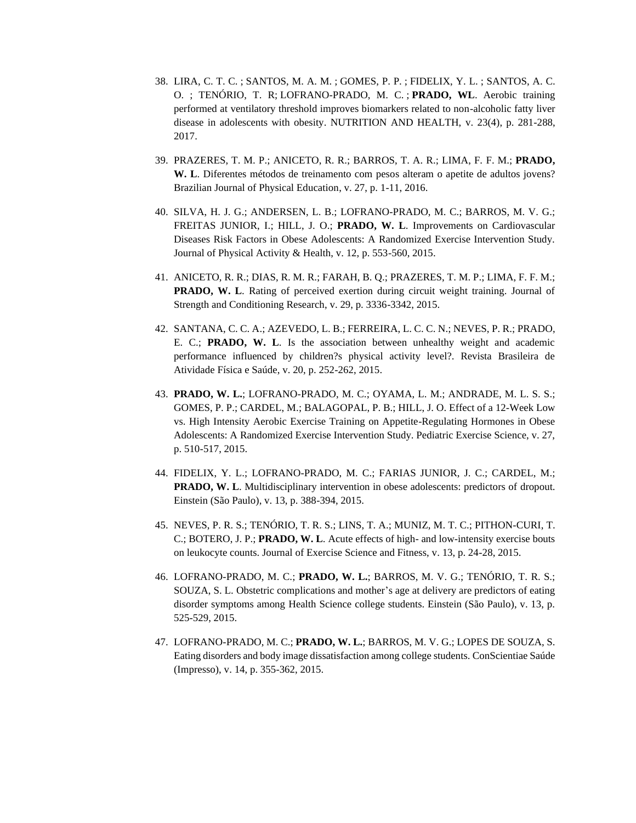- 38. [LIRA, C. T. C.](http://lattes.cnpq.br/8961376558580331) ; [SANTOS, M. A. M.](http://lattes.cnpq.br/1255644458061968) ; [GOMES, P. P.](http://lattes.cnpq.br/6487494061469581) ; [FIDELIX, Y. L.](http://lattes.cnpq.br/4812360526846960) ; SANTOS, A. C. O. ; TENÓRIO, T. R; [LOFRANO-PRADO, M. C.](http://lattes.cnpq.br/2838838432765285) ; **PRADO, WL**. Aerobic training performed at ventilatory threshold improves biomarkers related to non-alcoholic fatty liver disease in adolescents with obesity. NUTRITION AND HEALTH, v. 23(4), p. 281-288, 2017.
- 39. PRAZERES, T. M. P.; ANICETO, R. R.; BARROS, T. A. R.; LIMA, F. F. M.; **PRADO, W. L**. Diferentes métodos de treinamento com pesos alteram o apetite de adultos jovens? Brazilian Journal of Physical Education, v. 27, p. 1-11, 2016.
- 40. SILVA, H. J. G.; ANDERSEN, L. B.; LOFRANO-PRADO, M. C.; BARROS, M. V. G.; FREITAS JUNIOR, I.; HILL, J. O.; **PRADO, W. L**. Improvements on Cardiovascular Diseases Risk Factors in Obese Adolescents: A Randomized Exercise Intervention Study. Journal of Physical Activity & Health, v. 12, p. 553-560, 2015.
- 41. ANICETO, R. R.; DIAS, R. M. R.; FARAH, B. Q.; PRAZERES, T. M. P.; LIMA, F. F. M.; **PRADO, W. L.** Rating of perceived exertion during circuit weight training. Journal of Strength and Conditioning Research, v. 29, p. 3336-3342, 2015.
- 42. SANTANA, C. C. A.; AZEVEDO, L. B.; FERREIRA, L. C. C. N.; NEVES, P. R.; PRADO, E. C.; **PRADO, W. L**. Is the association between unhealthy weight and academic performance influenced by children?s physical activity level?. Revista Brasileira de Atividade Física e Saúde, v. 20, p. 252-262, 2015.
- 43. **PRADO, W. L.**; LOFRANO-PRADO, M. C.; OYAMA, L. M.; ANDRADE, M. L. S. S.; GOMES, P. P.; CARDEL, M.; BALAGOPAL, P. B.; HILL, J. O. Effect of a 12-Week Low vs. High Intensity Aerobic Exercise Training on Appetite-Regulating Hormones in Obese Adolescents: A Randomized Exercise Intervention Study. Pediatric Exercise Science, v. 27, p. 510-517, 2015.
- 44. FIDELIX, Y. L.; LOFRANO-PRADO, M. C.; FARIAS JUNIOR, J. C.; CARDEL, M.; **PRADO, W. L.** Multidisciplinary intervention in obese adolescents: predictors of dropout. Einstein (São Paulo), v. 13, p. 388-394, 2015.
- 45. NEVES, P. R. S.; TENÓRIO, T. R. S.; LINS, T. A.; MUNIZ, M. T. C.; PITHON-CURI, T. C.; BOTERO, J. P.; **PRADO, W. L**. Acute effects of high- and low-intensity exercise bouts on leukocyte counts. Journal of Exercise Science and Fitness, v. 13, p. 24-28, 2015.
- 46. LOFRANO-PRADO, M. C.; **PRADO, W. L.**; BARROS, M. V. G.; TENÓRIO, T. R. S.; SOUZA, S. L. Obstetric complications and mother's age at delivery are predictors of eating disorder symptoms among Health Science college students. Einstein (São Paulo), v. 13, p. 525-529, 2015.
- 47. LOFRANO-PRADO, M. C.; **PRADO, W. L.**; BARROS, M. V. G.; LOPES DE SOUZA, S. Eating disorders and body image dissatisfaction among college students. ConScientiae Saúde (Impresso), v. 14, p. 355-362, 2015.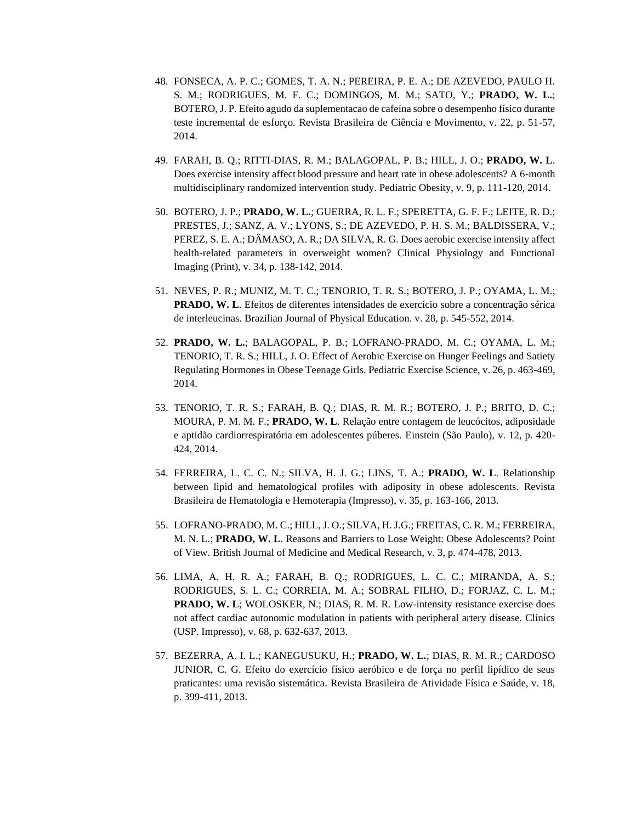- 48. FONSECA, A. P. C.; GOMES, T. A. N.; PEREIRA, P. E. A.; DE AZEVEDO, PAULO H. S. M.; RODRIGUES, M. F. C.; DOMINGOS, M. M.; SATO, Y.; **PRADO, W. L.**; BOTERO, J. P. Efeito agudo da suplementacao de cafeína sobre o desempenho físico durante teste incremental de esforço. Revista Brasileira de Ciência e Movimento, v. 22, p. 51-57, 2014.
- 49. FARAH, B. Q.; RITTI-DIAS, R. M.; BALAGOPAL, P. B.; HILL, J. O.; **PRADO, W. L**. Does exercise intensity affect blood pressure and heart rate in obese adolescents? A 6-month multidisciplinary randomized intervention study. Pediatric Obesity, v. 9, p. 111-120, 2014.
- 50. BOTERO, J. P.; **PRADO, W. L.**; GUERRA, R. L. F.; SPERETTA, G. F. F.; LEITE, R. D.; PRESTES, J.; SANZ, A. V.; LYONS, S.; DE AZEVEDO, P. H. S. M.; BALDISSERA, V.; PEREZ, S. E. A.; DÂMASO, A. R.; DA SILVA, R. G. Does aerobic exercise intensity affect health-related parameters in overweight women? Clinical Physiology and Functional Imaging (Print), v. 34, p. 138-142, 2014.
- 51. NEVES, P. R.; MUNIZ, M. T. C.; TENORIO, T. R. S.; BOTERO, J. P.; OYAMA, L. M.; **PRADO, W. L**. Efeitos de diferentes intensidades de exercício sobre a concentração sérica de interleucinas. Brazilian Journal of Physical Education. v. 28, p. 545-552, 2014.
- 52. **PRADO, W. L.**; BALAGOPAL, P. B.; LOFRANO-PRADO, M. C.; OYAMA, L. M.; TENORIO, T. R. S.; HILL, J. O. Effect of Aerobic Exercise on Hunger Feelings and Satiety Regulating Hormones in Obese Teenage Girls. Pediatric Exercise Science, v. 26, p. 463-469, 2014.
- 53. TENORIO, T. R. S.; FARAH, B. Q.; DIAS, R. M. R.; BOTERO, J. P.; BRITO, D. C.; MOURA, P. M. M. F.; **PRADO, W. L**. Relação entre contagem de leucócitos, adiposidade e aptidão cardiorrespiratória em adolescentes púberes. Einstein (São Paulo), v. 12, p. 420- 424, 2014.
- 54. FERREIRA, L. C. C. N.; SILVA, H. J. G.; LINS, T. A.; **PRADO, W. L**. Relationship between lipid and hematological profiles with adiposity in obese adolescents. Revista Brasileira de Hematologia e Hemoterapia (Impresso), v. 35, p. 163-166, 2013.
- 55. LOFRANO-PRADO, M. C.; HILL, J. O.; SILVA, H. J.G.; FREITAS, C. R. M.; FERREIRA, M. N. L.; **PRADO, W. L**. Reasons and Barriers to Lose Weight: Obese Adolescents? Point of View. British Journal of Medicine and Medical Research, v. 3, p. 474-478, 2013.
- 56. LIMA, A. H. R. A.; FARAH, B. Q.; RODRIGUES, L. C. C.; MIRANDA, A. S.; RODRIGUES, S. L. C.; CORREIA, M. A.; SOBRAL FILHO, D.; FORJAZ, C. L. M.; **PRADO, W. L**; WOLOSKER, N.; DIAS, R. M. R. Low-intensity resistance exercise does not affect cardiac autonomic modulation in patients with peripheral artery disease. Clinics (USP. Impresso), v. 68, p. 632-637, 2013.
- 57. BEZERRA, A. I. L.; KANEGUSUKU, H.; **PRADO, W. L.**; DIAS, R. M. R.; CARDOSO JUNIOR, C. G. Efeito do exercício físico aeróbico e de força no perfil lipídico de seus praticantes: uma revisão sistemática. Revista Brasileira de Atividade Física e Saúde, v. 18, p. 399-411, 2013.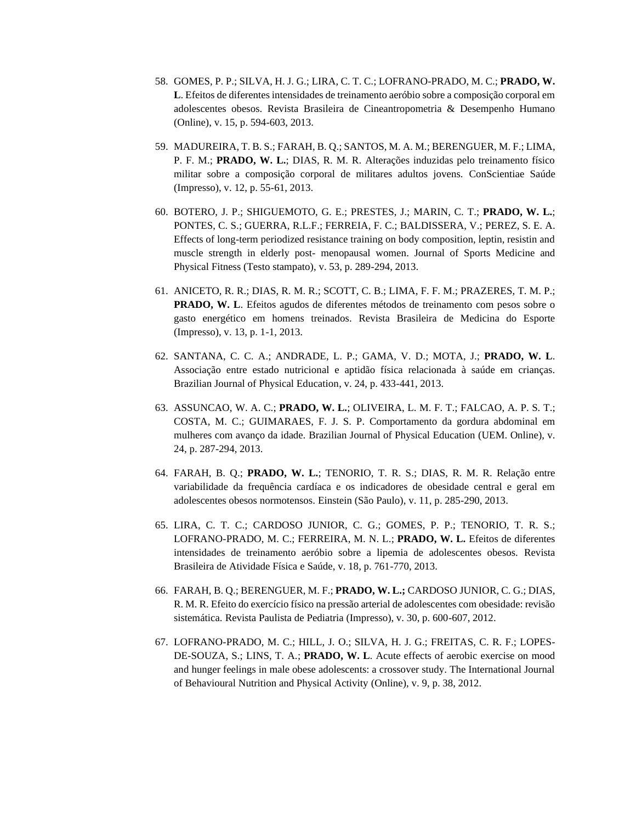- 58. GOMES, P. P.; SILVA, H. J. G.; LIRA, C. T. C.; LOFRANO-PRADO, M. C.; **PRADO, W. L**. Efeitos de diferentes intensidades de treinamento aeróbio sobre a composição corporal em adolescentes obesos. Revista Brasileira de Cineantropometria & Desempenho Humano (Online), v. 15, p. 594-603, 2013.
- 59. MADUREIRA, T. B. S.; FARAH, B. Q.; SANTOS, M. A. M.; BERENGUER, M. F.; LIMA, P. F. M.; **PRADO, W. L.**; DIAS, R. M. R. Alterações induzidas pelo treinamento físico militar sobre a composição corporal de militares adultos jovens. ConScientiae Saúde (Impresso), v. 12, p. 55-61, 2013.
- 60. BOTERO, J. P.; SHIGUEMOTO, G. E.; PRESTES, J.; MARIN, C. T.; **PRADO, W. L.**; PONTES, C. S.; GUERRA, R.L.F.; FERREIA, F. C.; BALDISSERA, V.; PEREZ, S. E. A. Effects of long-term periodized resistance training on body composition, leptin, resistin and muscle strength in elderly post- menopausal women. Journal of Sports Medicine and Physical Fitness (Testo stampato), v. 53, p. 289-294, 2013.
- 61. ANICETO, R. R.; DIAS, R. M. R.; SCOTT, C. B.; LIMA, F. F. M.; PRAZERES, T. M. P.; **PRADO, W. L**. Efeitos agudos de diferentes métodos de treinamento com pesos sobre o gasto energético em homens treinados. Revista Brasileira de Medicina do Esporte (Impresso), v. 13, p. 1-1, 2013.
- 62. SANTANA, C. C. A.; ANDRADE, L. P.; GAMA, V. D.; MOTA, J.; **PRADO, W. L**. Associação entre estado nutricional e aptidão física relacionada à saúde em crianças. Brazilian Journal of Physical Education, v. 24, p. 433-441, 2013.
- 63. ASSUNCAO, W. A. C.; **PRADO, W. L.**; OLIVEIRA, L. M. F. T.; FALCAO, A. P. S. T.; COSTA, M. C.; GUIMARAES, F. J. S. P. Comportamento da gordura abdominal em mulheres com avanço da idade. Brazilian Journal of Physical Education (UEM. Online), v. 24, p. 287-294, 2013.
- 64. FARAH, B. Q.; **PRADO, W. L.**; TENORIO, T. R. S.; DIAS, R. M. R. Relação entre variabilidade da frequência cardíaca e os indicadores de obesidade central e geral em adolescentes obesos normotensos. Einstein (São Paulo), v. 11, p. 285-290, 2013.
- 65. LIRA, C. T. C.; CARDOSO JUNIOR, C. G.; GOMES, P. P.; TENORIO, T. R. S.; LOFRANO-PRADO, M. C.; FERREIRA, M. N. L.; **PRADO, W. L.** Efeitos de diferentes intensidades de treinamento aeróbio sobre a lipemia de adolescentes obesos. Revista Brasileira de Atividade Física e Saúde, v. 18, p. 761-770, 2013.
- 66. FARAH, B. Q.; BERENGUER, M. F.; **PRADO, W. L.;** CARDOSO JUNIOR, C. G.; DIAS, R. M. R. Efeito do exercício físico na pressão arterial de adolescentes com obesidade: revisão sistemática. Revista Paulista de Pediatria (Impresso), v. 30, p. 600-607, 2012.
- 67. LOFRANO-PRADO, M. C.; HILL, J. O.; SILVA, H. J. G.; FREITAS, C. R. F.; LOPES-DE-SOUZA, S.; LINS, T. A.; **PRADO, W. L**. Acute effects of aerobic exercise on mood and hunger feelings in male obese adolescents: a crossover study. The International Journal of Behavioural Nutrition and Physical Activity (Online), v. 9, p. 38, 2012.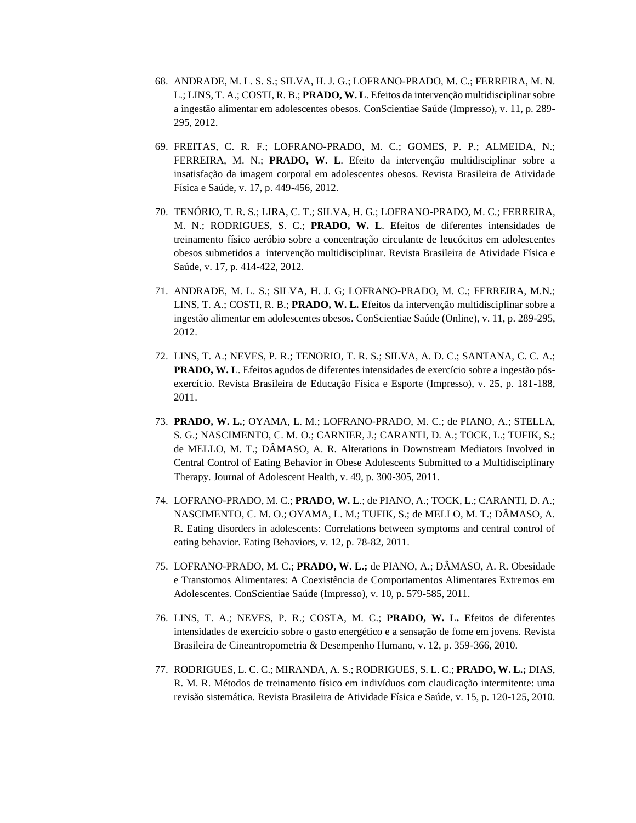- 68. ANDRADE, M. L. S. S.; SILVA, H. J. G.; LOFRANO-PRADO, M. C.; FERREIRA, M. N. L.; LINS, T. A.; COSTI, R. B.; **PRADO, W. L**. Efeitos da intervenção multidisciplinar sobre a ingestão alimentar em adolescentes obesos. ConScientiae Saúde (Impresso), v. 11, p. 289- 295, 2012.
- 69. FREITAS, C. R. F.; LOFRANO-PRADO, M. C.; GOMES, P. P.; ALMEIDA, N.; FERREIRA, M. N.; **PRADO, W. L**. Efeito da intervenção multidisciplinar sobre a insatisfação da imagem corporal em adolescentes obesos. Revista Brasileira de Atividade Física e Saúde, v. 17, p. 449-456, 2012.
- 70. TENÓRIO, T. R. S.; LIRA, C. T.; SILVA, H. G.; LOFRANO-PRADO, M. C.; FERREIRA, M. N.; RODRIGUES, S. C.; **PRADO, W. L**. Efeitos de diferentes intensidades de treinamento físico aeróbio sobre a concentração circulante de leucócitos em adolescentes obesos submetidos a intervenção multidisciplinar. Revista Brasileira de Atividade Física e Saúde, v. 17, p. 414-422, 2012.
- 71. ANDRADE, M. L. S.; SILVA, H. J. G; LOFRANO-PRADO, M. C.; FERREIRA, M.N.; LINS, T. A.; COSTI, R. B.; **PRADO, W. L.** Efeitos da intervenção multidisciplinar sobre a ingestão alimentar em adolescentes obesos. ConScientiae Saúde (Online), v. 11, p. 289-295, 2012.
- 72. LINS, T. A.; NEVES, P. R.; TENORIO, T. R. S.; SILVA, A. D. C.; SANTANA, C. C. A.; **PRADO, W. L**. Efeitos agudos de diferentes intensidades de exercício sobre a ingestão pósexercício. Revista Brasileira de Educação Física e Esporte (Impresso), v. 25, p. 181-188, 2011.
- 73. **PRADO, W. L.**; OYAMA, L. M.; LOFRANO-PRADO, M. C.; de PIANO, A.; STELLA, S. G.; NASCIMENTO, C. M. O.; CARNIER, J.; CARANTI, D. A.; TOCK, L.; TUFIK, S.; de MELLO, M. T.; DÂMASO, A. R. Alterations in Downstream Mediators Involved in Central Control of Eating Behavior in Obese Adolescents Submitted to a Multidisciplinary Therapy. Journal of Adolescent Health, v. 49, p. 300-305, 2011.
- 74. LOFRANO-PRADO, M. C.; **PRADO, W. L**.; de PIANO, A.; TOCK, L.; CARANTI, D. A.; NASCIMENTO, C. M. O.; OYAMA, L. M.; TUFIK, S.; de MELLO, M. T.; DÂMASO, A. R. Eating disorders in adolescents: Correlations between symptoms and central control of eating behavior. Eating Behaviors, v. 12, p. 78-82, 2011.
- 75. LOFRANO-PRADO, M. C.; **PRADO, W. L.;** de PIANO, A.; DÂMASO, A. R. Obesidade e Transtornos Alimentares: A Coexistência de Comportamentos Alimentares Extremos em Adolescentes. ConScientiae Saúde (Impresso), v. 10, p. 579-585, 2011.
- 76. LINS, T. A.; NEVES, P. R.; COSTA, M. C.; **PRADO, W. L.** Efeitos de diferentes intensidades de exercício sobre o gasto energético e a sensação de fome em jovens. Revista Brasileira de Cineantropometria & Desempenho Humano, v. 12, p. 359-366, 2010.
- 77. RODRIGUES, L. C. C.; MIRANDA, A. S.; RODRIGUES, S. L. C.; **PRADO, W. L.;** DIAS, R. M. R. Métodos de treinamento físico em indivíduos com claudicação intermitente: uma revisão sistemática. Revista Brasileira de Atividade Física e Saúde, v. 15, p. 120-125, 2010.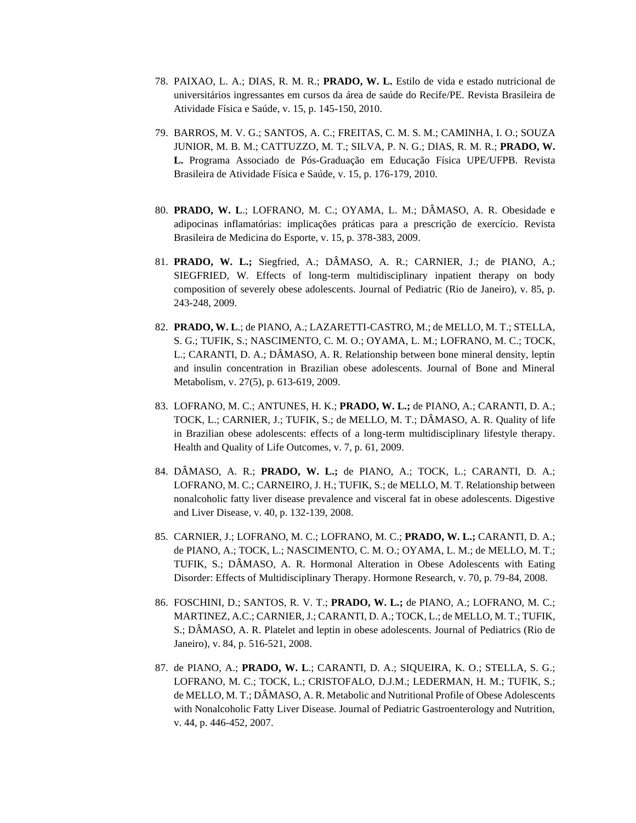- 78. PAIXAO, L. A.; DIAS, R. M. R.; **PRADO, W. L.** Estilo de vida e estado nutricional de universitários ingressantes em cursos da área de saúde do Recife/PE. Revista Brasileira de Atividade Física e Saúde, v. 15, p. 145-150, 2010.
- 79. BARROS, M. V. G.; SANTOS, A. C.; FREITAS, C. M. S. M.; CAMINHA, I. O.; SOUZA JUNIOR, M. B. M.; CATTUZZO, M. T.; SILVA, P. N. G.; DIAS, R. M. R.; **PRADO, W. L.** Programa Associado de Pós-Graduação em Educação Física UPE/UFPB. Revista Brasileira de Atividade Física e Saúde, v. 15, p. 176-179, 2010.
- 80. **PRADO, W. L**.; LOFRANO, M. C.; OYAMA, L. M.; DÂMASO, A. R. Obesidade e adipocinas inflamatórias: implicações práticas para a prescrição de exercício. Revista Brasileira de Medicina do Esporte, v. 15, p. 378-383, 2009.
- 81. **PRADO, W. L.;** Siegfried, A.; DÂMASO, A. R.; CARNIER, J.; de PIANO, A.; SIEGFRIED, W. Effects of long-term multidisciplinary inpatient therapy on body composition of severely obese adolescents. Journal of Pediatric (Rio de Janeiro), v. 85, p. 243-248, 2009.
- 82. **PRADO, W. L**.; de PIANO, A.; LAZARETTI-CASTRO, M.; de MELLO, M. T.; STELLA, S. G.; TUFIK, S.; NASCIMENTO, C. M. O.; OYAMA, L. M.; LOFRANO, M. C.; TOCK, L.; CARANTI, D. A.; DÂMASO, A. R. Relationship between bone mineral density, leptin and insulin concentration in Brazilian obese adolescents. Journal of Bone and Mineral Metabolism, v. 27(5), p. 613-619, 2009.
- 83. LOFRANO, M. C.; ANTUNES, H. K.; **PRADO, W. L.;** de PIANO, A.; CARANTI, D. A.; TOCK, L.; CARNIER, J.; TUFIK, S.; de MELLO, M. T.; DÂMASO, A. R. Quality of life in Brazilian obese adolescents: effects of a long-term multidisciplinary lifestyle therapy. Health and Quality of Life Outcomes, v. 7, p. 61, 2009.
- 84. DÂMASO, A. R.; **PRADO, W. L.;** de PIANO, A.; TOCK, L.; CARANTI, D. A.; LOFRANO, M. C.; CARNEIRO, J. H.; TUFIK, S.; de MELLO, M. T. Relationship between nonalcoholic fatty liver disease prevalence and visceral fat in obese adolescents. Digestive and Liver Disease, v. 40, p. 132-139, 2008.
- 85. CARNIER, J.; LOFRANO, M. C.; LOFRANO, M. C.; **PRADO, W. L.;** CARANTI, D. A.; de PIANO, A.; TOCK, L.; NASCIMENTO, C. M. O.; OYAMA, L. M.; de MELLO, M. T.; TUFIK, S.; DÂMASO, A. R. Hormonal Alteration in Obese Adolescents with Eating Disorder: Effects of Multidisciplinary Therapy. Hormone Research, v. 70, p. 79-84, 2008.
- 86. FOSCHINI, D.; SANTOS, R. V. T.; **PRADO, W. L.;** de PIANO, A.; LOFRANO, M. C.; MARTINEZ, A.C.; CARNIER, J.; CARANTI, D. A.; TOCK, L.; de MELLO, M. T.; TUFIK, S.; DÂMASO, A. R. Platelet and leptin in obese adolescents. Journal of Pediatrics (Rio de Janeiro), v. 84, p. 516-521, 2008.
- 87. de PIANO, A.; **PRADO, W. L**.; CARANTI, D. A.; SIQUEIRA, K. O.; STELLA, S. G.; LOFRANO, M. C.; TOCK, L.; CRISTOFALO, D.J.M.; LEDERMAN, H. M.; TUFIK, S.; de MELLO, M. T.; DÂMASO, A. R. Metabolic and Nutritional Profile of Obese Adolescents with Nonalcoholic Fatty Liver Disease. Journal of Pediatric Gastroenterology and Nutrition, v. 44, p. 446-452, 2007.